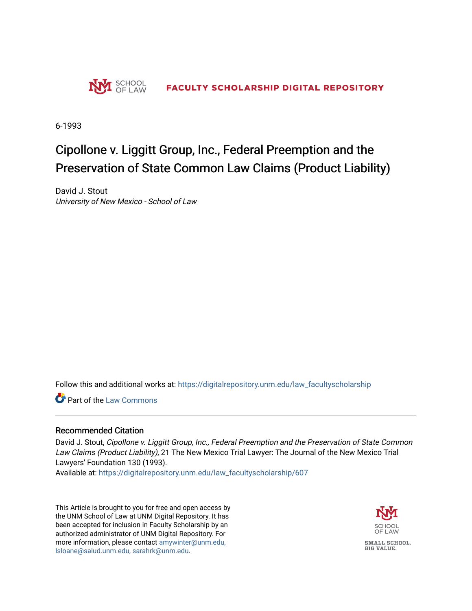

6-1993

## Cipollone v. Liggitt Group, Inc., Federal Preemption and the Preservation of State Common Law Claims (Product Liability)

David J. Stout University of New Mexico - School of Law

Follow this and additional works at: [https://digitalrepository.unm.edu/law\\_facultyscholarship](https://digitalrepository.unm.edu/law_facultyscholarship?utm_source=digitalrepository.unm.edu%2Flaw_facultyscholarship%2F607&utm_medium=PDF&utm_campaign=PDFCoverPages) 

**C** Part of the [Law Commons](http://network.bepress.com/hgg/discipline/578?utm_source=digitalrepository.unm.edu%2Flaw_facultyscholarship%2F607&utm_medium=PDF&utm_campaign=PDFCoverPages)

## Recommended Citation

David J. Stout, Cipollone v. Liggitt Group, Inc., Federal Preemption and the Preservation of State Common Law Claims (Product Liability), 21 The New Mexico Trial Lawyer: The Journal of the New Mexico Trial Lawyers' Foundation 130 (1993).

Available at: [https://digitalrepository.unm.edu/law\\_facultyscholarship/607](https://digitalrepository.unm.edu/law_facultyscholarship/607?utm_source=digitalrepository.unm.edu%2Flaw_facultyscholarship%2F607&utm_medium=PDF&utm_campaign=PDFCoverPages) 

This Article is brought to you for free and open access by the UNM School of Law at UNM Digital Repository. It has been accepted for inclusion in Faculty Scholarship by an authorized administrator of UNM Digital Repository. For more information, please contact [amywinter@unm.edu,](mailto:amywinter@unm.edu,%20lsloane@salud.unm.edu,%20sarahrk@unm.edu)  [lsloane@salud.unm.edu, sarahrk@unm.edu.](mailto:amywinter@unm.edu,%20lsloane@salud.unm.edu,%20sarahrk@unm.edu)

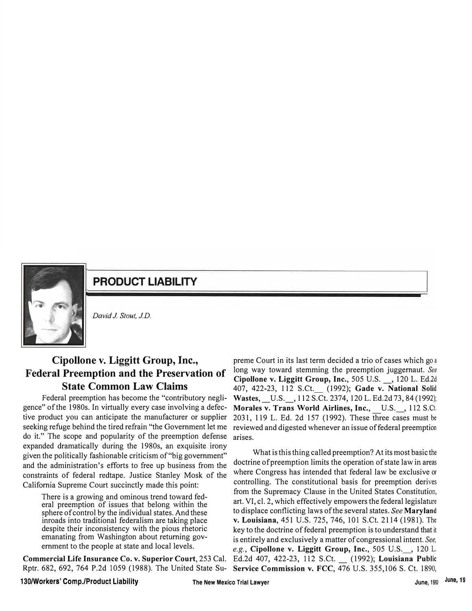

**PRODUCT LIABILITY** 

*David J Stout, JD.* 

## **Cipollone v. Liggitt Group, Inc., Federal Preemption and the Preservation of State Common Law Claims**

Federal preemption has become the "contributory negligence" of the 198Os. In virtually every case involving a defective product you can anticipate the manufacturer or supplier seeking refuge behind the tired refrain "the Government let me do it." The scope and popularity of the preemption defense expanded dramatically during the 198Os, an exquisite irony given the politically fashionable criticism of "big government" and the administration's efforts to free up business from the constraints of federal redtape. Justice Stanley Mosk of the California Supreme Court succinctly made this point:

There is a growing and ominous trend toward federal preemption of issues that belong within the sphere of control by the individual states. And these inroads into traditional federalism are taking place despite their inconsistency with the pious rhetoric emanating from Washington about returning government to the people at state and local levels.

**Commercial Life Insurance Co. v. Superior Court,** 253 Cal. Rptr. 682, 692, 764 P.2d 1059 (1988). The United State Su-

preme Court in its last term decided a trio of cases which go a long way toward stemming the preemption juggernaut. *See*  **Cipollone v. Liggitt Group, Inc.,** 505 U.S. \_, 120 L. Ed.2d 407, 422-23, 112 S.Ct.\_ (1992); **Gade v. National** Solid **Wastes,** \_U.S.\_, 112 S.Ct. 2374, 120 L. Ed.2d 73, 84 (1992); **Morales v. Trans World Airlines, Inc.,** U.S.\_, 112 S.Ct. 2031, 119 L. Ed. 2d 157 (1992). These three cases must be reviewed and digested whenever an issue of federal preemption arises.

What is this thing called preemption? At its most basic the doctrine of preemption limits the operation of state law in areas where Congress has intended that federal law be exclusive or controlling. The constitutional basis for preemption derives from the Supremacy Clause in the United States Constitution, art. VI, cl. 2, which effectively empowers the federal legislature to displace conflicting laws of the several states. *See* **Maryland v. Louisiana,** 451 U.S. 725, 746, 101 S.Ct. 2114 (1981). The key to the doctrine of federal preemption is to understand that it is entirely and exclusively a matter of congressional intent. *See, e.g.,* **Cipollone v. Liggitt Group, Inc.,** 505 U.S.\_, 120 L. Ed.2d 407, 422-23, 112 S.Ct. \_ ( 1992); **Louisiana Public Service Commission v. FCC,** 476 U.S. 355,106 S. Ct. 1890,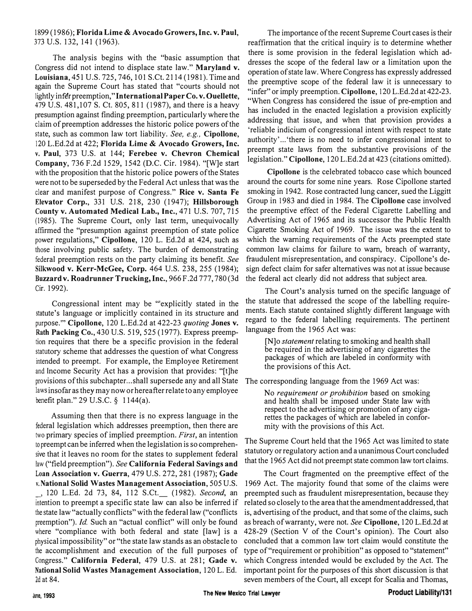## 1899 (1986); **Florida Lime** & **Avocado Growers, Inc. v. Paul,**  373 U.S. 132, 141 (1963).

The analysis begins with the "basic assumption that Congress did not intend to displace state law." **Maryland v. Louisiana,451** U.S. 725, 746, 101 S.Ct. 2114 (1981). Time and again the Supreme Court has stated that "courts should not lightly infer preemption," International Paper Co. v. Ouellette, 479 U.S. 481,107 S. Ct. 805, 811 ( 1987), and there is a heavy presumption against finding preemption, particularly where the claim of preemption addresses the historic police powers of the state, such as common law tort liability. *See, e.g.,* **Cipollone,**  120 L.Ed.2d at 422; **Florida Lime** & **Avocado Growers, Inc.**  v. **Paul,** 373 U.S. at 144; **Ferebee v. Chevron Chemical Company,** 736 F.2d 1529, 1542 (D.C. Cir. 1984). "[W]e start with the proposition that the historic police powers of the States were not to be superseded by the Federal Act unless that was the clear and manifest purpose of Congress." **Rice v. Santa Fe Elevator Corp.,** 331 U.S. 218, 230 (1947); **Hillsborough County v. Automated Medical Lab., Inc.,** 471 U.S. 707, 715 (1985). The Supreme Court, only last term, unequivocally affirmed the "presumption against preemption of state police power regulations," **Cipollone,** 120 L. Ed.2d at 424, such as those involving public safety. The burden of demonstrating federal preemption rests on the party claiming its benefit. *See* **Silkwood v. Kerr-McGee, Corp.** 464 U.S. 238, 255 (1984); **Buzzard v. Roadrunner Trucking, Inc.,** 966 F .2d 777, 780 (3d Cir. 1992).

Congressional intent may be "'explicitly stated in the statute's language or implicitly contained in its structure and purpose."' **Cipollone,** 120 L.Ed.2d at 422-23 *quoting* **Jones v. Rath Packing Co.,** 430 U.S. 519, 525 ( 1977). Express preemption requires that there be a specific provision in the federal statutory scheme that addresses the question of what Congress intended to preempt. For example, the Employee Retirement and Income Security Act has a provision that provides: "[t]he provisions of this subchapter ... shall supersede any and all State laws insofar as they may now or hereafter relate to any employee benefit plan." 29 U.S.C. *§* 1144(a).

Assuming then that there is no express language in the federal legislation which addresses preemption, then there are two primary species of implied preemption. *First,* an intention to preempt can be inferred when the legislation is so comprehensive that it leaves no room for the states to supplement federal law ("field preemption"). *See* **California Federal Savings and**  Loan **Association v. Guerra,** 479 U.S. 272, 281 (1987); **Gade v.National Solid Wastes Management Association,** 505 U.S.

\_, 120 L.Ed. 2d 73, 84, 112 S.Ct.\_ (1982). *Second,* an intention to preempt a specific state law can also be inferred if the state law "actually conflicts" with the federal law ("conflicts preemption"). *Id.* Such an "actual conflict" will only be found where "compliance with both federal and state [law] is a physical impossibility" or "the state law stands as an obstacle to the accomplishment and execution of the full purposes of Congress." **California Federal,** 479 U.S. at 281; **Gade v. National Solid Wastes Management Association,** 120 L. Ed. 2d at 84.

The importance of the recent Supreme Court cases is their reaffirmation that the critical inquiry is to determine whether there is some provision in the federal legislation which addresses the scope of the federal law or a limitation upon the operation of state law. Where Congress has expressly addressed the preemptive scope of the federal law it is unnecessary to "infer" or imply preemption. **Cipollone,** 120 L.Ed.2d at 422-23. "When Congress has considered the issue of pre-emption and has included in the enacted legislation a provision explicitly addressing that issue, and when that provision provides a 'reliable indicium of congressional intent with respect to state authority' ... 'there is no need to infer congressional intent to preempt state laws from the substantive provisions of the legislation." **Cipollone,** 120 L.Ed.2d at 423 ( citations omitted).

**Cipollone** is the celebrated tobacco case which bounced around the courts for some nine years. Rose Cipollone started smoking in 1942. Rose contracted lung cancer, sued the Liggitt Group in 1983 and died in 1984. The **Cipollone** case involved the preemptive effect of the Federal Cigarette Labelling and Advertising Act of 1965 and its successor the Public Health Cigarette Smoking Act of 1969. The issue was the extent to which the warning requirements of the Acts preempted state common law claims for failure to warn, breach of warranty, fraudulent misrepresentation, and conspiracy. Cipollone's design defect claim for safer alternatives was not at issue because the federal act clearly did not address that subject area.

The Court's analysis turned on the specific language of the statute that addressed the scope of the labelling requirements. Each statute contained slightly different language with regard to the federal labelling requirements. The pertinent language from the 1965 Act was:

[N]o *statement* relating to smoking and health shall be required in the advertising of any cigarettes the packages of which are labeled in conformity with the provisions of this Act.

The corresponding language from the 1969 Act was:

No *requirement or prohibition* based on smoking and health shall be imposed under State law with respect to the advertising or promotion of any cigarettes the packages of which are labeled in conformity with the provisions of this Act.

The Supreme Court held that the 1965 Act was limited to state statutory or regulatory action and a unanimous Court concluded that the 1965 Act did not preempt state common law tort claims.

The Court fragmented on the preemptive effect of the 1969 Act. The majority found that some of the claims were preempted such as fraudulent misrepresentation, because they related so closely to the area that the amendment addressed, that is, advertising of the product, and that some of the claims, such as breach of warranty, were not. *See* **Cipollone,** 120 L.Ed.2d at 428-29 (Section V of the Court's opinion). The Court also concluded that a common law tort claim would constitute the type of "requirement or prohibition" as opposed to "statement" which Congress intended would be excluded by the Act. The important point for the purposes of this short discussion is that seven members of the Court, all except for Scalia and Thomas,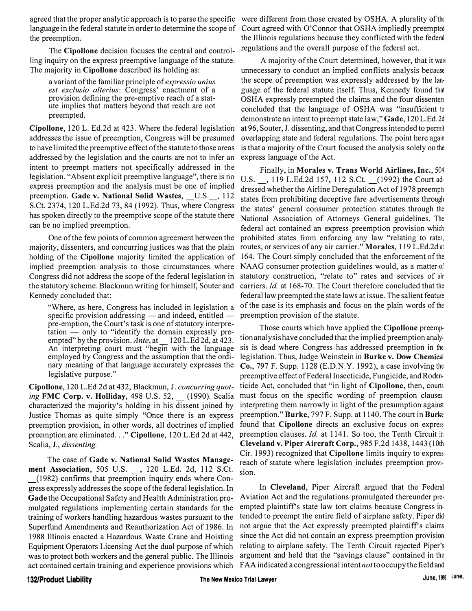agreed that the proper analytic approach is to parse the specific were different from those created by OSHA. A plurality of the language in the federal statute in order to determine the scope of Court agreed with O'Connor that OSHA impliedly preempted the preemption.

The **Cipollone** decision focuses the central and controlling inquiry on the express preemptive language of the statute. The majority in **Cipollone** described its holding as:

a variant of the familiar principle of *expressio unius est exclusio alterius:* Congress' enactment of a provision defining the pre-emptive reach of a statute implies that matters beyond that reach are not preempted.

**Cipollone,** 120 L. Ed.2d at 423. Where the federal legislation addresses the issue of preemption, Congress will be presumed to have limited the preemptive effect of the statute to those areas addressed by the legislation and the courts are not to infer an intent to preempt matters not specifically addressed in the legislation. "Absent explicit preemptive language", there is no express preemption and the analysis must be one of implied preemption. Gade v. National Solid Wastes, U.S., 112 S.Ct. 2374, 120 L.Ed.2d 73, 84 (1992). Thus, where Congress has spoken directly to the preemptive scope of the statute there can be no implied preemption.

One of the few points of common agreement between the majority, dissenters, and concurring justices was that the plain holding of the **Cipollone** majority limited the application of implied preemption analysis to those circumstances where Congress did not address the scope of the federal legislation in the statutory scheme. Blackmun writing for himself, Souter and Kennedy concluded that:

"Where, as here, Congress has included in legislation a specific provision addressing  $-$  and indeed, entitled  $$ pre-emption, the Court's task is one of statutory interpre $tation$  — only to "identify the domain expressly preempted" by the provision. Ante, at 120 L.Ed 2d, at 423. An interpreting court must "begin with the language employed by Congress and the assumption that the ordinary meaning of that language accurately expresses the legislative purpose."

**Cipollone,** 120 L.Ed 2d at 432, Blackmun, J. *concurring quoting* **FMC Corp. v. Holliday,** 498 U.S. 52, \_ (1990). Scalia characterized the majority's holding in his dissent joined by Justice Thomas as quite simply "Once there is an express preemption provision, in other words, all doctrines of implied preemption are eliminated .. . " **Cipollone,** 120 L.Ed 2d at 442, Scalia, J., *dissenting.* 

The case of **Gade v. National Solid Wastes Management Association,** 505 U.S. \_, 120 L.Ed. 2d, 112 S.Ct. \_( 1982) confirms that preemption inquiry ends where Congress expressly addresses the scope of the federal legislation. In **Gade** the Occupational Safety and Health Administration promulgated regulations implementing certain standards for the training of workers handling hazardous wastes pursuant to the Superfund Amendments and Reauthorization Act of 1986. In 1988 Illinois enacted a Hazardous Waste Crane and Hoisting Equipment Operators Licensing Act the dual purpose of which was to protect both workers and the general public. The Illinois act contained certain training and experience provisions which

the Illinois regulations because they conflicted with the federal regulations and the overall purpose of the federal act.

A majority of the Court determined, however, that it was unnecessary to conduct an implied conflicts analysis because the scope of preemption was expressly addressed by the language of the federal statute itself. Thus, Kennedy found that OSHA expressly preempted the claims and the four dissenters concluded that the language of OSHA was "insufficient to demonstrate an intent to preempt state law," **Gade,** 120 L.Ed. 2d at 96, Souter, J. dissenting, and that Congress intended to permit overlapping state and federal regulations. The point here again is that a majority of the Court focused the analysis solely on the express language of the Act.

Finally, in **Morales v. Trans World Airlines, Inc.,** 504 U.S. , 119 L.Ed.2d 157, 112 S.Ct. (1992) the Court addressed whether the Airline Deregulation Act of 1978 preempts states from prohibiting deceptive fare advertisements through the states' general consumer protection statutes through the National Association of Attorneys General guidelines. The federal act contained an express preemption provision which prohibited states from enforcing any law "relating to rates, routes, or services of any air carrier." **Morales,** 119 L.Ed.2d at 164. The Court simply concluded that the enforcement of the NAAG consumer protection guidelines would, as a matter of statutory construction, "relate to" rates and services of air carriers. *Id.* at 168-70. The Court therefore concluded that the federal law preempted the state laws at issue. The salient feature of the case is its emphasis and focus on the plain words of the preemption provision of the statute.

Those courts which have applied the **Cipollone** preemption analysis have concluded that the implied preemption analysis is dead where Congress has addressed preemption in the legislation. Thus, Judge Weinstein in **Burke v. Dow Chemical Co.,** 797 F. Supp. 1128 (E.D.N.Y. 1992), a case involving the preemptive effect of Federal Insecticide, Fungicide, and Rodenticide Act, concluded that "in light of **Cipollone,** then, courts must focus on the specific wording of preemption clauses, interpreting them narrowly in light of the presumption against preemption." **Burke,** 797 F. Supp. at 1140. The court in **Burke**  found that **Cipollone** directs an exclusive focus on express preemption clauses. *Id.* at 1141. So too, the Tenth Circuit in **Cleveland v. Piper Aircraft Corp.,** 985 F.2d 1438, 1443 (10th Cir. 1993) recognized that **Cipollone** limits inquiry to express reach of statute where legislation includes preemption provision.

In **Cleveland,** Piper Aircraft argued that the Federal Aviation Act and the regulations promulgated thereunder preempted plaintiffs state law tort claims because Congress intended to preempt the entire field of airplane safety. Piper did not argue that the Act expressly preempted plaintiff's claims since the Act did not contain an express preemption provision relating to airplane safety. The Tenth Circuit rejected Piper's argument and held that the "savings clause" contained in the FAA indicated a congressional intent *not* to occupy the field and